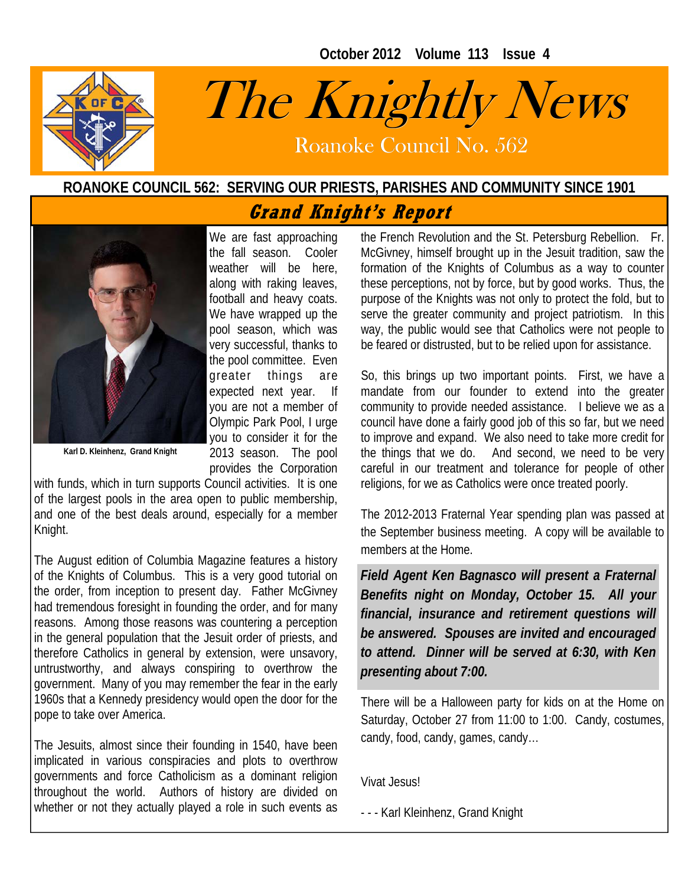**October 2012 Volume 113 Issue 4** 



# The Knightly News

Roanoke Council No. 562 Roanoke Council No. 562

## **ROANOKE COUNCIL 562: SERVING OUR PRIESTS, PARISHES AND COMMUNITY SINCE 1901**

# **Grand Knight's Report**



We are fast approaching the fall season. Cooler weather will be here, along with raking leaves, football and heavy coats. We have wrapped up the pool season, which was very successful, thanks to the pool committee. Even greater things are expected next year. If you are not a member of Olympic Park Pool, I urge you to consider it for the 2013 season. The pool provides the Corporation

**Karl D. Kleinhenz, Grand Knight** 

with funds, which in turn supports Council activities. It is one of the largest pools in the  $\overline{a}$  area open to public membership, and one of the best deals around, especially for a member Knight.

The August edition of Columbia Magazine features a history of the Knights of Columbus. This is a very good tutorial on the order, from inception to present day. Father McGivney had tremendous foresight in founding the order, and for many reasons. Among those reasons was countering a perception in the general population that the Jesuit order of priests, and therefore Catholics in general by extension, were unsavory, untrustworthy, and always conspiring to overthrow the government. Many of you may remember the fear in the early 1960s that a Kennedy presidency would open the door for the pope to take over America.

The Jesuits, almost since their founding in 1540, have been implicated in various conspiracies and plots to overthrow governments and force Catholicism as a dominant religion throughout the world. Authors of history are divided on whether or not they actually played a role in such events as the French Revolution and the St. Petersburg Rebellion. Fr. McGivney, himself brought up in the Jesuit tradition, saw the formation of the Knights of Columbus as a way to counter these perceptions, not by force, but by good works. Thus, the purpose of the Knights was not only to protect the fold, but to serve the greater community and project patriotism. In this way, the public would see that Catholics were not people to be feared or distrusted, but to be relied upon for assistance.

So, this brings up two important points. First, we have a mandate from our founder to extend into the greater community to provide needed assistance. I believe we as a council have done a fairly good job of this so far, but we need to improve and expand. We also need to take more credit for the things that we do. And second, we need to be very careful in our treatment and tolerance for people of other religions, for we as Catholics were once treated poorly.

The 2012-2013 Fraternal Year spending plan was passed at the September business meeting. A copy will be available to members at the Home.

*Field Agent Ken Bagnasco will present a Fraternal Benefits night on Monday, October 15. All your financial, insurance and retirement questions will be answered. Spouses are invited and encouraged to attend. Dinner will be served at 6:30, with Ken presenting about 7:00.* 

There will be a Halloween party for kids on at the Home on Saturday, October 27 from 11:00 to 1:00. Candy, costumes, candy, food, candy, games, candy…

Vivat Jesus!

- - - Karl Kleinhenz, Grand Knight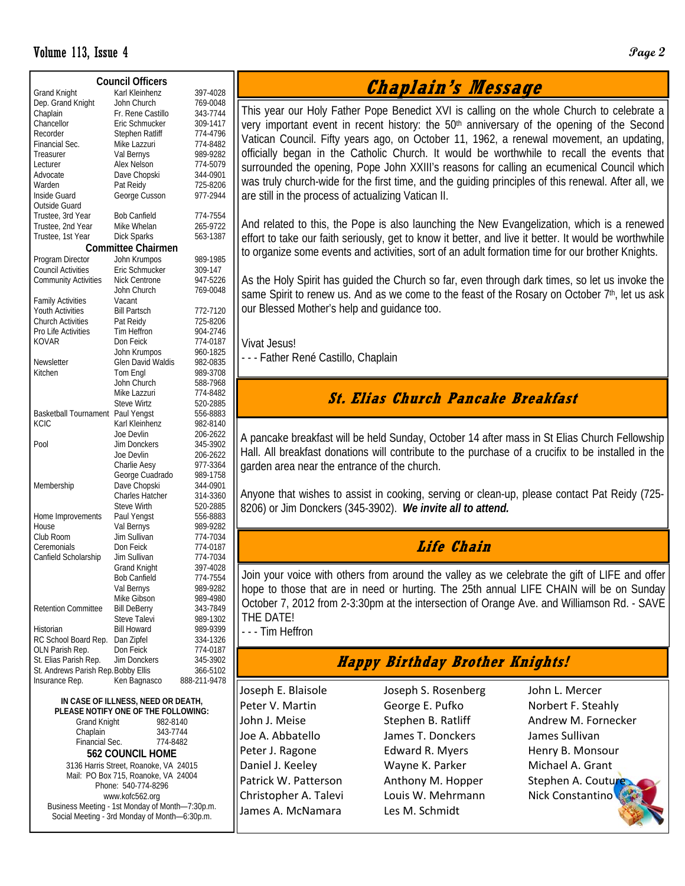#### Volume 113, Issue 4 **Page 2**

| <b>Council Officers</b>             |                        |                      |  |  |  |  |  |  |  |
|-------------------------------------|------------------------|----------------------|--|--|--|--|--|--|--|
| <b>Grand Knight</b>                 | Karl Kleinhenz         | 397-4028             |  |  |  |  |  |  |  |
| Dep. Grand Knight                   | John Church            | 769-0048             |  |  |  |  |  |  |  |
| Chaplain                            | Fr. Rene Castillo      | 343-7744             |  |  |  |  |  |  |  |
| Chancellor                          | Eric Schmucker         | 309-1417             |  |  |  |  |  |  |  |
| Recorder                            | Stephen Ratliff        | 774-4796             |  |  |  |  |  |  |  |
| Financial Sec.                      | Mike Lazzuri           | 774-8482             |  |  |  |  |  |  |  |
| Treasurer                           | Val Bernys             | 989-9282             |  |  |  |  |  |  |  |
| Lecturer                            | Alex Nelson            | 774-5079             |  |  |  |  |  |  |  |
| Advocate                            | Dave Chopski           | 344-0901             |  |  |  |  |  |  |  |
| Warden                              | Pat Reidy              | 725-8206             |  |  |  |  |  |  |  |
| Inside Guard                        | George Cusson          | 977-2944             |  |  |  |  |  |  |  |
| Outside Guard                       |                        |                      |  |  |  |  |  |  |  |
| Trustee, 3rd Year                   | <b>Bob Canfield</b>    | 774-7554             |  |  |  |  |  |  |  |
| Trustee, 2nd Year                   | Mike Whelan            |                      |  |  |  |  |  |  |  |
|                                     |                        | 265-9722<br>563-1387 |  |  |  |  |  |  |  |
| Trustee, 1st Year                   | Dick Sparks            |                      |  |  |  |  |  |  |  |
| <b>Committee Chairmen</b>           |                        |                      |  |  |  |  |  |  |  |
| Program Director                    | John Krumpos           | 989-1985             |  |  |  |  |  |  |  |
| <b>Council Activities</b>           | Eric Schmucker         | 309-147              |  |  |  |  |  |  |  |
| <b>Community Activities</b>         | Nick Centrone          | 947-5226             |  |  |  |  |  |  |  |
|                                     | John Church            | 769-0048             |  |  |  |  |  |  |  |
| <b>Family Activities</b>            | Vacant                 |                      |  |  |  |  |  |  |  |
| <b>Youth Activities</b>             | <b>Bill Partsch</b>    | 772-7120             |  |  |  |  |  |  |  |
| <b>Church Activities</b>            | Pat Reidy              | 725-8206             |  |  |  |  |  |  |  |
| Pro Life Activities                 | Tim Heffron            | 904-2746             |  |  |  |  |  |  |  |
| <b>KOVAR</b>                        | Don Feick              | 774-0187             |  |  |  |  |  |  |  |
|                                     | John Krumpos           | 960-1825             |  |  |  |  |  |  |  |
| Newsletter                          | Glen David Waldis      | 982-0835             |  |  |  |  |  |  |  |
| Kitchen                             | Tom Engl               | 989-3708             |  |  |  |  |  |  |  |
|                                     | John Church            | 588-7968             |  |  |  |  |  |  |  |
|                                     | Mike Lazzuri           | 774-8482             |  |  |  |  |  |  |  |
|                                     |                        |                      |  |  |  |  |  |  |  |
|                                     | Steve Wirtz            | 520-2885             |  |  |  |  |  |  |  |
| <b>Basketball Tournament</b>        | Paul Yengst            | 556-8883             |  |  |  |  |  |  |  |
| <b>KCIC</b>                         | Karl Kleinhenz         | 982-8140             |  |  |  |  |  |  |  |
|                                     | Joe Devlin             | 206-2622             |  |  |  |  |  |  |  |
| Pool                                | <b>Jim Donckers</b>    | 345-3902             |  |  |  |  |  |  |  |
|                                     | Joe Devlin             | 206-2622             |  |  |  |  |  |  |  |
|                                     | Charlie Aesy           | 977-3364             |  |  |  |  |  |  |  |
|                                     | George Cuadrado        | 989-1758             |  |  |  |  |  |  |  |
| Membership                          | Dave Chopski           | 344-0901             |  |  |  |  |  |  |  |
|                                     | <b>Charles Hatcher</b> | 314-3360             |  |  |  |  |  |  |  |
|                                     | <b>Steve Wirth</b>     | 520-2885             |  |  |  |  |  |  |  |
| Home Improvements                   | Paul Yengst            | 556-8883             |  |  |  |  |  |  |  |
| House                               | Val Bernys             | 989-9282             |  |  |  |  |  |  |  |
| Club Room                           | Jim Sullivan           | 774-7034             |  |  |  |  |  |  |  |
| Ceremonials                         | Don Feick              | 774-0187             |  |  |  |  |  |  |  |
| Canfield Scholarship                | Jim Sullivan           | 774-7034             |  |  |  |  |  |  |  |
|                                     | Grand Knight           | 397-4028             |  |  |  |  |  |  |  |
|                                     | <b>Bob Canfield</b>    | 774-7554             |  |  |  |  |  |  |  |
|                                     | Val Bernys             | 989-9282             |  |  |  |  |  |  |  |
|                                     | Mike Gibson            | 989-4980             |  |  |  |  |  |  |  |
| <b>Retention Committee</b>          | <b>Bill DeBerry</b>    | 343-7849             |  |  |  |  |  |  |  |
|                                     | Steve Talevi           | 989-1302             |  |  |  |  |  |  |  |
| Historian                           | <b>Bill Howard</b>     | 989-9399             |  |  |  |  |  |  |  |
| RC School Board Rep.                | Dan Zipfel             | 334-1326             |  |  |  |  |  |  |  |
| OLN Parish Rep.                     | Don Feick              | 774-0187             |  |  |  |  |  |  |  |
| St. Elias Parish Rep.               | Jim Donckers           |                      |  |  |  |  |  |  |  |
| St. Andrews Parish Rep. Bobby Ellis |                        | 345-3902<br>366-5102 |  |  |  |  |  |  |  |
|                                     | Ken Bagnasco           |                      |  |  |  |  |  |  |  |
| Insurance Rep.                      |                        | 888-211-9478         |  |  |  |  |  |  |  |

**IN CASE OF ILLNESS, NEED OR DEATH, PLEASE NOTIFY ONE OF THE FOLLOWING:**  Grand Knight 982-8140 Chaplain 343-7744<br>Financial Sec. 774-8482 Financial Sec. **562 COUNCIL HOME**  3136 Harris Street, Roanoke, VA 24015 Mail: PO Box 715, Roanoke, VA 24004 Phone: 540-774-8296 www.kofc562.org Business Meeting - 1st Monday of Month—7:30p.m. Social Meeting - 3rd Monday of Month—6:30p.m.

# **Chaplain's Message**

This year our Holy Father Pope Benedict XVI is calling on the whole Church to celebrate a very important event in recent history: the  $50<sup>th</sup>$  anniversary of the opening of the Second Vatican Council. Fifty years ago, on October 11, 1962, a renewal movement, an updating, officially began in the Catholic Church. It would be worthwhile to recall the events that surrounded the opening, Pope John XXIII's reasons for calling an ecumenical Council which was truly church-wide for the first time, and the guiding principles of this renewal. After all, we are still in the process of actualizing Vatican II.

And related to this, the Pope is also launching the New Evangelization, which is a renewed effort to take our faith seriously, get to know it better, and live it better. It would be worthwhile to organize some events and activities, sort of an adult formation time for our brother Knights.

As the Holy Spirit has guided the Church so far, even through dark times, so let us invoke the same Spirit to renew us. And as we come to the feast of the Rosary on October  $7<sup>th</sup>$ , let us ask our Blessed Mother's help and guidance too.

Vivat Jesus!

- - - Father René Castillo, Chaplain

## **St. Elias Church Pancake Breakfast**

A pancake breakfast will be held Sunday, October 14 after mass in St Elias Church Fellowship Hall. All breakfast donations will contribute to the purchase of a crucifix to be installed in the garden area near the entrance of the church.

Anyone that wishes to assist in cooking, serving or clean-up, please contact Pat Reidy (725- 8206) or Jim Donckers (345-3902). *We invite all to attend.* 

## **Life Chain**

Join your voice with others from around the valley as we celebrate the gift of LIFE and offer hope to those that are in need or hurting. The 25th annual LIFE CHAIN will be on Sunday October 7, 2012 from 2-3:30pm at the intersection of Orange Ave. and Williamson Rd. - SAVE THE DATE!

- - - Tim Heffron

## **Happy Birthday Brother Knights!**

Joseph E. Blaisole Peter V. Martin John J. Meise Joe A. Abbatello Peter J. Ragone Daniel J. Keeley Patrick W. Patterson Christopher A. Talevi James A. McNamara

Joseph S. Rosenberg George E. Pufko Stephen B. Ratliff James T. Donckers Edward R. Myers Wayne K. Parker Anthony M. Hopper Louis W. Mehrmann Les M. Schmidt

John L. Mercer Norbert F. Steahly Andrew M. Fornecker James Sullivan Henry B. Monsour Michael A. Grant Stephen A. Coutur Nick Constantino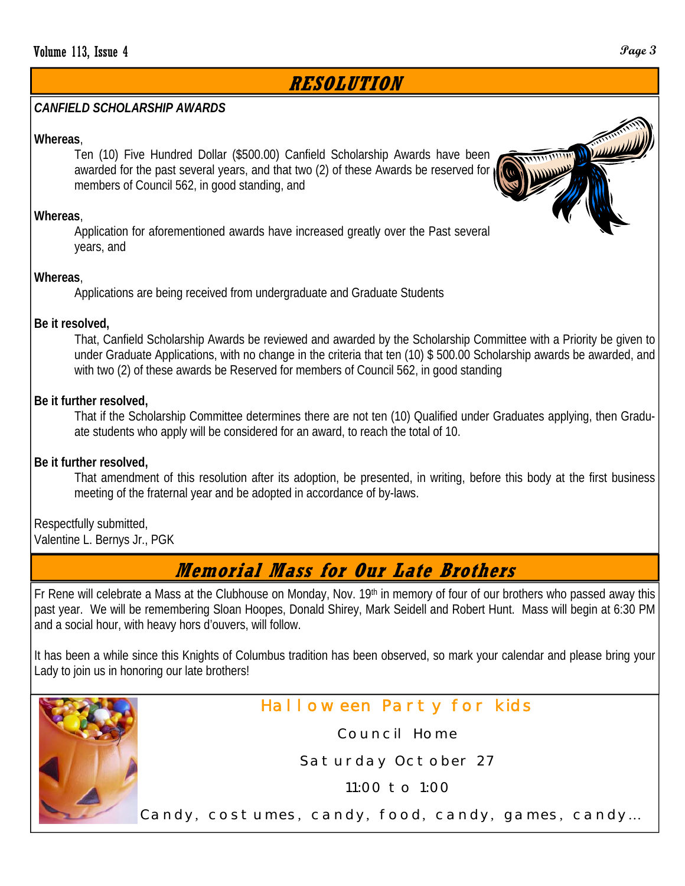# **RESOLUTION**

#### *CANFIELD SCHOLARSHIP AWARDS*

#### **Whereas**,

Ten (10) Five Hundred Dollar (\$500.00) Canfield Scholarship Awards have been awarded for the past several years, and that two (2) of these Awards be reserved for members of Council 562, in good standing, and

#### **Whereas**,

Application for aforementioned awards have increased greatly over the Past several years, and

#### **Whereas**,

Applications are being received from undergraduate and Graduate Students

#### **Be it resolved,**

That, Canfield Scholarship Awards be reviewed and awarded by the Scholarship Committee with a Priority be given to under Graduate Applications, with no change in the criteria that ten (10) \$ 500.00 Scholarship awards be awarded, and with two (2) of these awards be Reserved for members of Council 562, in good standing

#### **Be it further resolved,**

That if the Scholarship Committee determines there are not ten (10) Qualified under Graduates applying, then Graduate students who apply will be considered for an award, to reach the total of 10.

#### **Be it further resolved,**

That amendment of this resolution after its adoption, be presented, in writing, before this body at the first business meeting of the fraternal year and be adopted in accordance of by-laws.

Respectfully submitted, Valentine L. Bernys Jr., PGK

# **Memorial Mass for Our Late Brothers**

Fr Rene will celebrate a Mass at the Clubhouse on Monday, Nov. 19th in memory of four of our brothers who passed away this past year. We will be remembering Sloan Hoopes, Donald Shirey, Mark Seidell and Robert Hunt. Mass will begin at 6:30 PM and a social hour, with heavy hors d'ouvers, will follow.

It has been a while since this Knights of Columbus tradition has been observed, so mark your calendar and please bring your Lady to join us in honoring our late brothers!



## Halloween Party for kids

Council Home

Saturday October 27

11:00 to 1:00

Candy, costumes, candy, food, candy, games, candy…